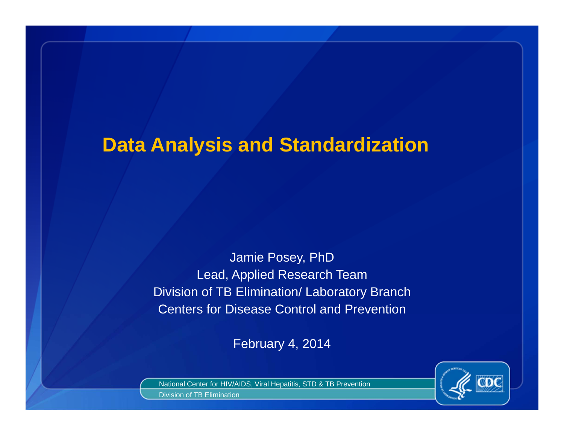### **Data Analysis and Standardization**

Jamie Posey, PhD Lead, Applied Research Team Division of TB Elimination/ Laboratory Branch Centers for Disease Control and Prevention

February 4, 2014



National Center for HIV/AIDS, Viral Hepatitis, STD & TB Prevention Division of TB Elimination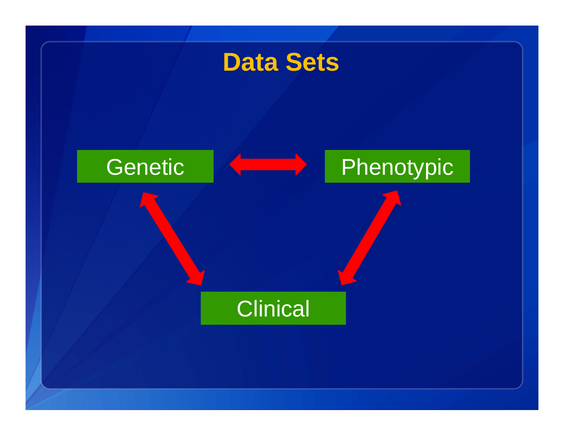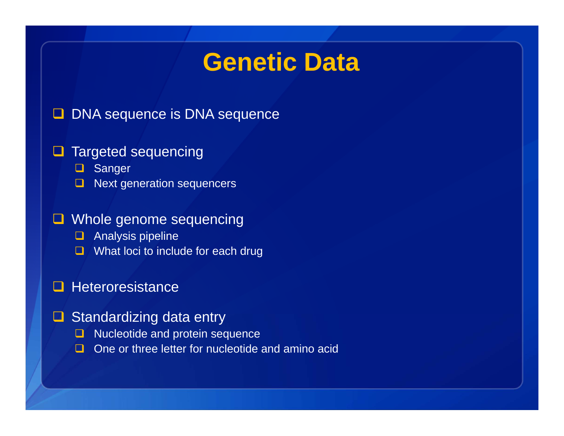## **Genetic Data**

### **D** DNA sequence is DNA sequence

#### **Q** Targeted sequencing

**Q** Sanger

 $\Box$ Next generation sequencers

#### **Q** Whole genome sequencing

- **Q** Analysis pipeline
- **Q** What loci to include for each drug

#### $\sqcup$ **Heteroresistance**

- **□** Standardizing data entry
	- **Nucleotide and protein sequence**
	- $\Box$ One or three letter for nucleotide and amino acid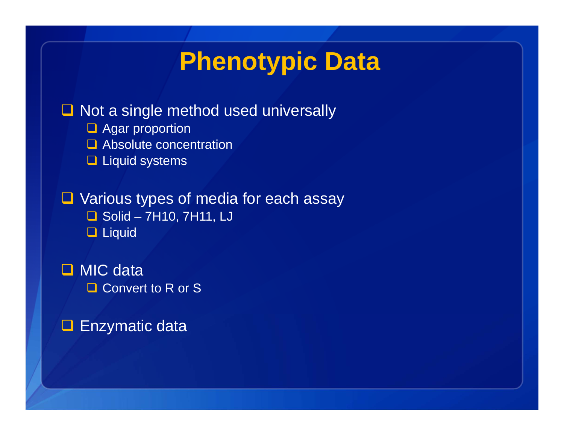# **Phenotypic Data**

### **□ Not a single method used universally**

- **Q** Agar proportion
- **Q** Absolute concentration
- **Liquid systems**

**Q** Various types of media for each assay

- $\Box$  Solid 7H10, 7H11, LJ
- □ Liquid

□ MIC data **□ Convert to R or S** 

**□ Enzymatic data**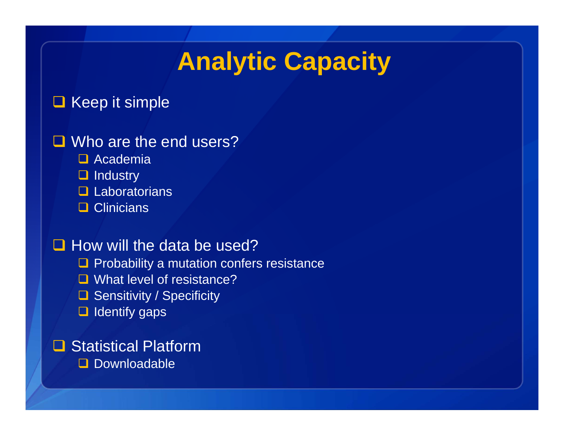# **Analytic Capacity**

### $\Box$  Keep it simple

### **□** Who are the end users?

- **□** Academia
- **Q** Industry
- **Q** Laboratorians
- **□ Clinicians**

### $\Box$  How will the data be used?

- $\Box$  Probability a mutation confers resistance
- **□** What level of resistance?
- **□ Sensitivity / Specificity**
- $\Box$  Identify gaps

### **□ Statistical Platform**

**Downloadable**